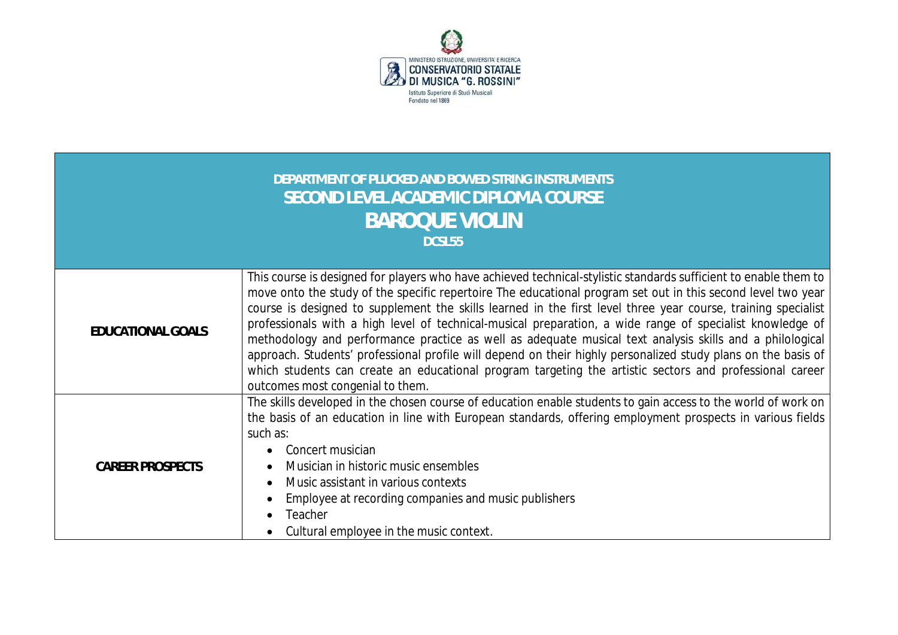

| DEPARTMENT OF PLUCKED AND BOWED STRING INSTRUMENTS<br>SECOND LEVEL ACADEMIC DIPLOMA COURSE<br><b>BAROQUE VIOLIN</b><br>DCSL55 |                                                                                                                                                                                                                                                                                                                                                                                                                                                                                                                                                                                                                                                                                                                                                                                                                                            |  |  |  |  |  |
|-------------------------------------------------------------------------------------------------------------------------------|--------------------------------------------------------------------------------------------------------------------------------------------------------------------------------------------------------------------------------------------------------------------------------------------------------------------------------------------------------------------------------------------------------------------------------------------------------------------------------------------------------------------------------------------------------------------------------------------------------------------------------------------------------------------------------------------------------------------------------------------------------------------------------------------------------------------------------------------|--|--|--|--|--|
| <b>EDUCATIONAL GOALS</b>                                                                                                      | This course is designed for players who have achieved technical-stylistic standards sufficient to enable them to<br>move onto the study of the specific repertoire The educational program set out in this second level two year<br>course is designed to supplement the skills learned in the first level three year course, training specialist<br>professionals with a high level of technical-musical preparation, a wide range of specialist knowledge of<br>methodology and performance practice as well as adequate musical text analysis skills and a philological<br>approach. Students' professional profile will depend on their highly personalized study plans on the basis of<br>which students can create an educational program targeting the artistic sectors and professional career<br>outcomes most congenial to them. |  |  |  |  |  |
| <b>CAREER PROSPECTS</b>                                                                                                       | The skills developed in the chosen course of education enable students to gain access to the world of work on<br>the basis of an education in line with European standards, offering employment prospects in various fields<br>such as:<br>Concert musician<br>$\bullet$<br>Musician in historic music ensembles<br>٠<br>Music assistant in various contexts<br>$\bullet$<br>Employee at recording companies and music publishers<br>Teacher<br>Cultural employee in the music context.                                                                                                                                                                                                                                                                                                                                                    |  |  |  |  |  |